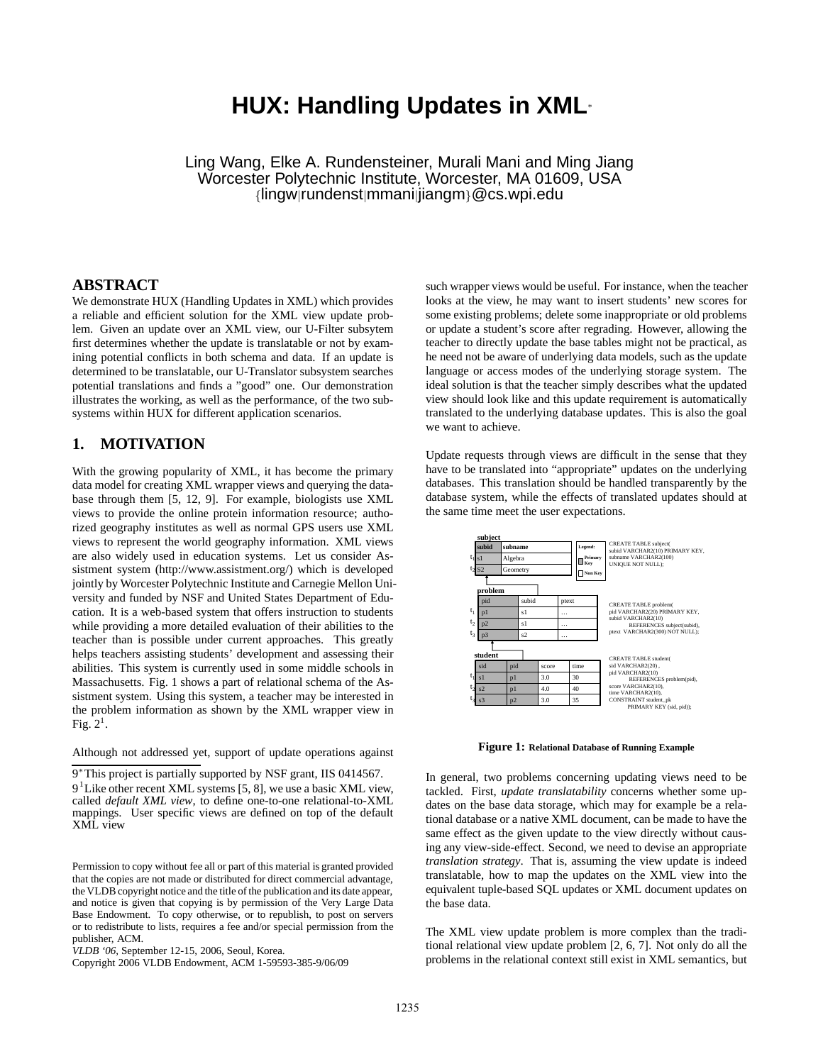# **HUX: Handling Updates in XML**<sup>∗</sup>

Ling Wang, Elke A. Rundensteiner, Murali Mani and Ming Jiang Worcester Polytechnic Institute, Worcester, MA 01609, USA {lingw|rundenst|mmani|jiangm}@cs.wpi.edu

### **ABSTRACT**

We demonstrate HUX (Handling Updates in XML) which provides a reliable and efficient solution for the XML view update problem. Given an update over an XML view, our U-Filter subsytem first determines whether the update is translatable or not by examining potential conflicts in both schema and data. If an update is determined to be translatable, our U-Translator subsystem searches potential translations and finds a "good" one. Our demonstration illustrates the working, as well as the performance, of the two subsystems within HUX for different application scenarios.

## **1. MOTIVATION**

With the growing popularity of XML, it has become the primary data model for creating XML wrapper views and querying the database through them [5, 12, 9]. For example, biologists use XML views to provide the online protein information resource; authorized geography institutes as well as normal GPS users use XML views to represent the world geography information. XML views are also widely used in education systems. Let us consider Assistment system (http://www.assistment.org/) which is developed jointly by Worcester Polytechnic Institute and Carnegie Mellon University and funded by NSF and United States Department of Education. It is a web-based system that offers instruction to students while providing a more detailed evaluation of their abilities to the teacher than is possible under current approaches. This greatly helps teachers assisting students' development and assessing their abilities. This system is currently used in some middle schools in Massachusetts. Fig. 1 shows a part of relational schema of the Assistment system. Using this system, a teacher may be interested in the problem information as shown by the XML wrapper view in Fig.  $2<sup>1</sup>$ .

Although not addressed yet, support of update operations against

9<sup>∗</sup>This project is partially supported by NSF grant, IIS 0414567.

such wrapper views would be useful. For instance, when the teacher looks at the view, he may want to insert students' new scores for some existing problems; delete some inappropriate or old problems or update a student's score after regrading. However, allowing the teacher to directly update the base tables might not be practical, as he need not be aware of underlying data models, such as the update language or access modes of the underlying storage system. The ideal solution is that the teacher simply describes what the updated view should look like and this update requirement is automatically translated to the underlying database updates. This is also the goal we want to achieve.

Update requests through views are difficult in the sense that they have to be translated into "appropriate" updates on the underlying databases. This translation should be handled transparently by the database system, while the effects of translated updates should at the same time meet the user expectations.



**Figure 1: Relational Database of Running Example**

In general, two problems concerning updating views need to be tackled. First, *update translatability* concerns whether some updates on the base data storage, which may for example be a relational database or a native XML document, can be made to have the same effect as the given update to the view directly without causing any view-side-effect. Second, we need to devise an appropriate *translation strategy*. That is, assuming the view update is indeed translatable, how to map the updates on the XML view into the equivalent tuple-based SQL updates or XML document updates on the base data.

The XML view update problem is more complex than the traditional relational view update problem [2, 6, 7]. Not only do all the problems in the relational context still exist in XML semantics, but

<sup>9&</sup>lt;sup>1</sup> Like other recent XML systems [5, 8], we use a basic XML view, called *default XML view*, to define one-to-one relational-to-XML mappings. User specific views are defined on top of the default XML view

Permission to copy without fee all or part of this material is granted provided that the copies are not made or distributed for direct commercial advantage, the VLDB copyright notice and the title of the publication and its date appear, and notice is given that copying is by permission of the Very Large Data Base Endowment. To copy otherwise, or to republish, to post on servers or to redistribute to lists, requires a fee and/or special permission from the publisher, ACM.

*VLDB '06,* September 12-15, 2006, Seoul, Korea.

Copyright 2006 VLDB Endowment, ACM 1-59593-385-9/06/09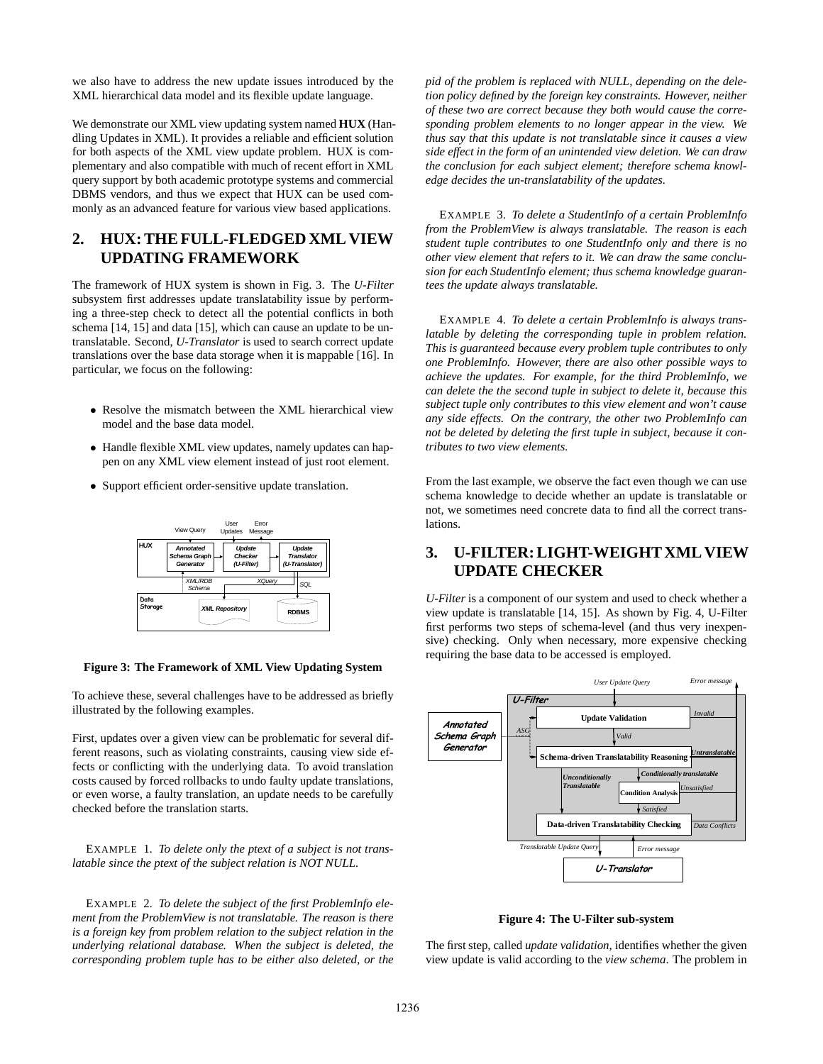we also have to address the new update issues introduced by the XML hierarchical data model and its flexible update language.

We demonstrate our XML view updating system named **HUX** (Handling Updates in XML). It provides a reliable and efficient solution for both aspects of the XML view update problem. HUX is complementary and also compatible with much of recent effort in XML query support by both academic prototype systems and commercial DBMS vendors, and thus we expect that HUX can be used commonly as an advanced feature for various view based applications.

## **2. HUX: THE FULL-FLEDGED XML VIEW UPDATING FRAMEWORK**

The framework of HUX system is shown in Fig. 3. The *U-Filter* subsystem first addresses update translatability issue by performing a three-step check to detect all the potential conflicts in both schema [14, 15] and data [15], which can cause an update to be untranslatable. Second, *U-Translator* is used to search correct update translations over the base data storage when it is mappable [16]. In particular, we focus on the following:

- Resolve the mismatch between the XML hierarchical view model and the base data model.
- Handle flexible XML view updates, namely updates can happen on any XML view element instead of just root element.
- Support efficient order-sensitive update translation.



#### **Figure 3: The Framework of XML View Updating System**

To achieve these, several challenges have to be addressed as briefly illustrated by the following examples.

First, updates over a given view can be problematic for several different reasons, such as violating constraints, causing view side effects or conflicting with the underlying data. To avoid translation costs caused by forced rollbacks to undo faulty update translations, or even worse, a faulty translation, an update needs to be carefully checked before the translation starts.

EXAMPLE 1. *To delete only the ptext of a subject is not translatable since the ptext of the subject relation is NOT NULL.*

EXAMPLE 2. *To delete the subject of the first ProblemInfo element from the ProblemView is not translatable. The reason is there is a foreign key from problem relation to the subject relation in the underlying relational database. When the subject is deleted, the corresponding problem tuple has to be either also deleted, or the*

*pid of the problem is replaced with NULL, depending on the deletion policy defined by the foreign key constraints. However, neither of these two are correct because they both would cause the corresponding problem elements to no longer appear in the view. We thus say that this update is not translatable since it causes a view side effect in the form of an unintended view deletion. We can draw the conclusion for each subject element; therefore schema knowledge decides the un-translatability of the updates.*

EXAMPLE 3. *To delete a StudentInfo of a certain ProblemInfo from the ProblemView is always translatable. The reason is each student tuple contributes to one StudentInfo only and there is no other view element that refers to it. We can draw the same conclusion for each StudentInfo element; thus schema knowledge guarantees the update always translatable.*

EXAMPLE 4. *To delete a certain ProblemInfo is always translatable by deleting the corresponding tuple in problem relation. This is guaranteed because every problem tuple contributes to only one ProblemInfo. However, there are also other possible ways to achieve the updates. For example, for the third ProblemInfo, we can delete the the second tuple in subject to delete it, because this subject tuple only contributes to this view element and won't cause any side effects. On the contrary, the other two ProblemInfo can not be deleted by deleting the first tuple in subject, because it contributes to two view elements.*

From the last example, we observe the fact even though we can use schema knowledge to decide whether an update is translatable or not, we sometimes need concrete data to find all the correct translations.

# **3. U-FILTER: LIGHT-WEIGHT XML VIEW UPDATE CHECKER**

*U-Filter* is a component of our system and used to check whether a view update is translatable [14, 15]. As shown by Fig. 4, U-Filter first performs two steps of schema-level (and thus very inexpensive) checking. Only when necessary, more expensive checking requiring the base data to be accessed is employed.



**Figure 4: The U-Filter sub-system**

The first step, called *update validation*, identifies whether the given view update is valid according to the *view schema*. The problem in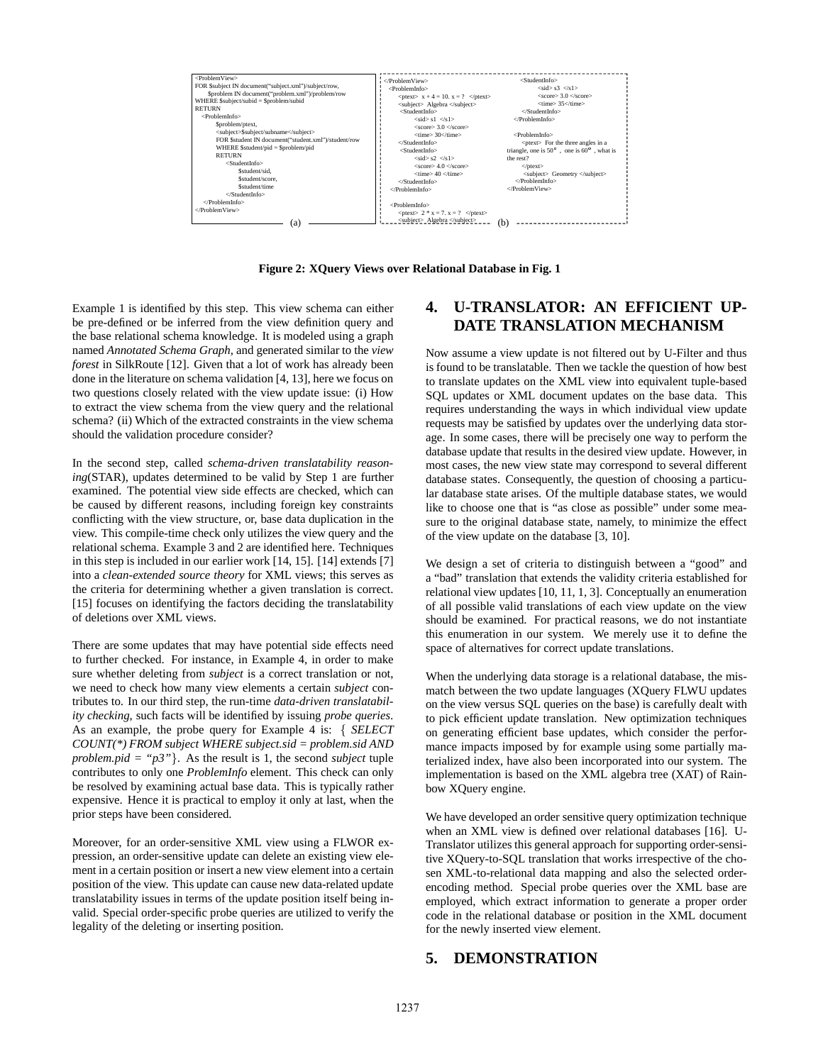

**Figure 2: XQuery Views over Relational Database in Fig. 1**

Example 1 is identified by this step. This view schema can either be pre-defined or be inferred from the view definition query and the base relational schema knowledge. It is modeled using a graph named *Annotated Schema Graph*, and generated similar to the *view forest* in SilkRoute [12]. Given that a lot of work has already been done in the literature on schema validation [4, 13], here we focus on two questions closely related with the view update issue: (i) How to extract the view schema from the view query and the relational schema? (ii) Which of the extracted constraints in the view schema should the validation procedure consider?

In the second step, called *schema-driven translatability reasoning*(STAR), updates determined to be valid by Step 1 are further examined. The potential view side effects are checked, which can be caused by different reasons, including foreign key constraints conflicting with the view structure, or, base data duplication in the view. This compile-time check only utilizes the view query and the relational schema. Example 3 and 2 are identified here. Techniques in this step is included in our earlier work [14, 15]. [14] extends [7] into a *clean-extended source theory* for XML views; this serves as the criteria for determining whether a given translation is correct. [15] focuses on identifying the factors deciding the translatability of deletions over XML views.

There are some updates that may have potential side effects need to further checked. For instance, in Example 4, in order to make sure whether deleting from *subject* is a correct translation or not, we need to check how many view elements a certain *subject* contributes to. In our third step, the run-time *data-driven translatability checking*, such facts will be identified by issuing *probe queries*. As an example, the probe query for Example 4 is: { *SELECT COUNT(\*) FROM subject WHERE subject.sid = problem.sid AND problem.pid* = " $p3$ "}. As the result is 1, the second *subject* tuple contributes to only one *ProblemInfo* element. This check can only be resolved by examining actual base data. This is typically rather expensive. Hence it is practical to employ it only at last, when the prior steps have been considered.

Moreover, for an order-sensitive XML view using a FLWOR expression, an order-sensitive update can delete an existing view element in a certain position or insert a new view element into a certain position of the view. This update can cause new data-related update translatability issues in terms of the update position itself being invalid. Special order-specific probe queries are utilized to verify the legality of the deleting or inserting position.

## **4. U-TRANSLATOR: AN EFFICIENT UP-DATE TRANSLATION MECHANISM**

Now assume a view update is not filtered out by U-Filter and thus is found to be translatable. Then we tackle the question of how best to translate updates on the XML view into equivalent tuple-based SQL updates or XML document updates on the base data. This requires understanding the ways in which individual view update requests may be satisfied by updates over the underlying data storage. In some cases, there will be precisely one way to perform the database update that results in the desired view update. However, in most cases, the new view state may correspond to several different database states. Consequently, the question of choosing a particular database state arises. Of the multiple database states, we would like to choose one that is "as close as possible" under some measure to the original database state, namely, to minimize the effect of the view update on the database [3, 10].

We design a set of criteria to distinguish between a "good" and a "bad" translation that extends the validity criteria established for relational view updates [10, 11, 1, 3]. Conceptually an enumeration of all possible valid translations of each view update on the view should be examined. For practical reasons, we do not instantiate this enumeration in our system. We merely use it to define the space of alternatives for correct update translations.

When the underlying data storage is a relational database, the mismatch between the two update languages (XQuery FLWU updates on the view versus SQL queries on the base) is carefully dealt with to pick efficient update translation. New optimization techniques on generating efficient base updates, which consider the performance impacts imposed by for example using some partially materialized index, have also been incorporated into our system. The implementation is based on the XML algebra tree (XAT) of Rainbow XQuery engine.

We have developed an order sensitive query optimization technique when an XML view is defined over relational databases [16]. U-Translator utilizes this general approach for supporting order-sensitive XQuery-to-SQL translation that works irrespective of the chosen XML-to-relational data mapping and also the selected orderencoding method. Special probe queries over the XML base are employed, which extract information to generate a proper order code in the relational database or position in the XML document for the newly inserted view element.

### **5. DEMONSTRATION**